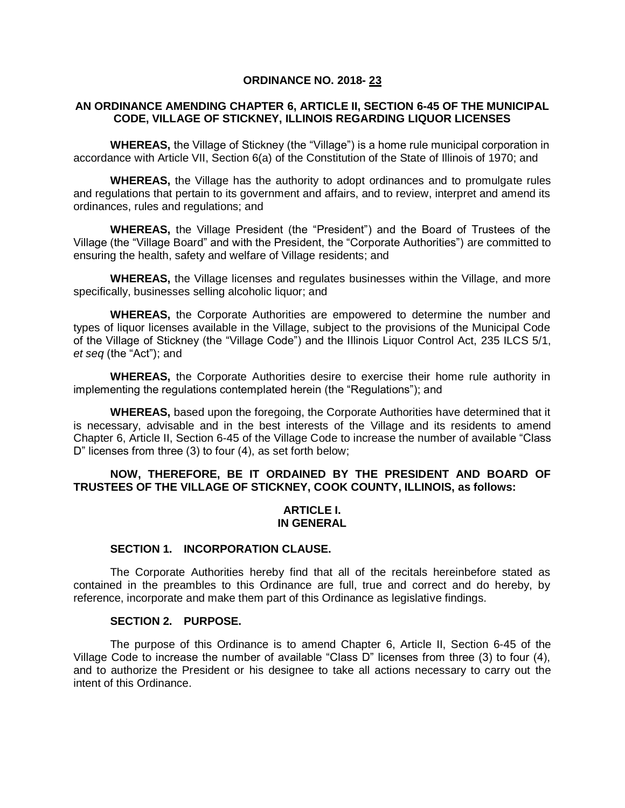## **ORDINANCE NO. 2018- 23**

## **AN ORDINANCE AMENDING CHAPTER 6, ARTICLE II, SECTION 6-45 OF THE MUNICIPAL CODE, VILLAGE OF STICKNEY, ILLINOIS REGARDING LIQUOR LICENSES**

**WHEREAS,** the Village of Stickney (the "Village") is a home rule municipal corporation in accordance with Article VII, Section 6(a) of the Constitution of the State of Illinois of 1970; and

**WHEREAS,** the Village has the authority to adopt ordinances and to promulgate rules and regulations that pertain to its government and affairs, and to review, interpret and amend its ordinances, rules and regulations; and

**WHEREAS,** the Village President (the "President") and the Board of Trustees of the Village (the "Village Board" and with the President, the "Corporate Authorities") are committed to ensuring the health, safety and welfare of Village residents; and

**WHEREAS,** the Village licenses and regulates businesses within the Village, and more specifically, businesses selling alcoholic liquor; and

**WHEREAS,** the Corporate Authorities are empowered to determine the number and types of liquor licenses available in the Village, subject to the provisions of the Municipal Code of the Village of Stickney (the "Village Code") and the Illinois Liquor Control Act, 235 ILCS 5/1, *et seq* (the "Act"); and

**WHEREAS,** the Corporate Authorities desire to exercise their home rule authority in implementing the regulations contemplated herein (the "Regulations"); and

**WHEREAS,** based upon the foregoing, the Corporate Authorities have determined that it is necessary, advisable and in the best interests of the Village and its residents to amend Chapter 6, Article II, Section 6-45 of the Village Code to increase the number of available "Class D" licenses from three (3) to four (4), as set forth below;

## **NOW, THEREFORE, BE IT ORDAINED BY THE PRESIDENT AND BOARD OF TRUSTEES OF THE VILLAGE OF STICKNEY, COOK COUNTY, ILLINOIS, as follows:**

## **ARTICLE I. IN GENERAL**

#### **SECTION 1. INCORPORATION CLAUSE.**

The Corporate Authorities hereby find that all of the recitals hereinbefore stated as contained in the preambles to this Ordinance are full, true and correct and do hereby, by reference, incorporate and make them part of this Ordinance as legislative findings.

#### **SECTION 2. PURPOSE.**

The purpose of this Ordinance is to amend Chapter 6, Article II, Section 6-45 of the Village Code to increase the number of available "Class D" licenses from three (3) to four (4), and to authorize the President or his designee to take all actions necessary to carry out the intent of this Ordinance.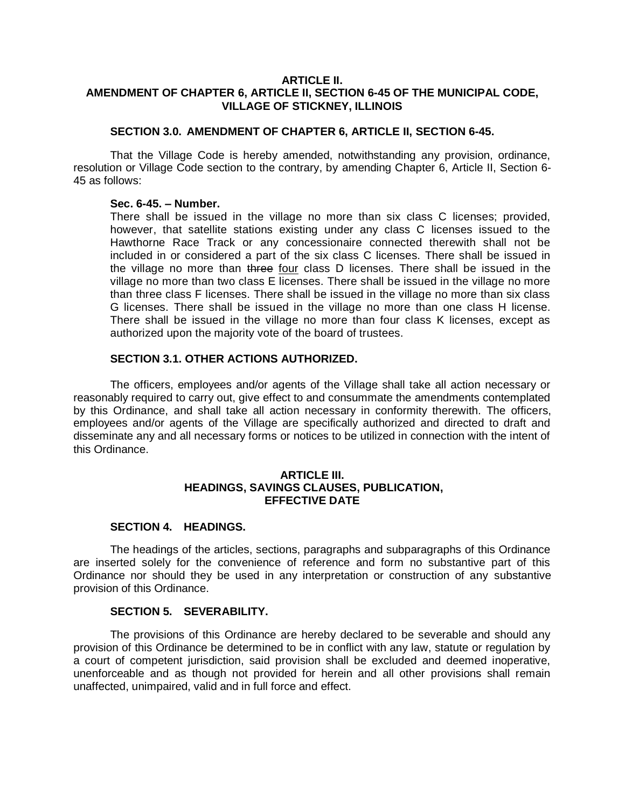## **ARTICLE II. AMENDMENT OF CHAPTER 6, ARTICLE II, SECTION 6-45 OF THE MUNICIPAL CODE, VILLAGE OF STICKNEY, ILLINOIS**

## **SECTION 3.0. AMENDMENT OF CHAPTER 6, ARTICLE II, SECTION 6-45.**

That the Village Code is hereby amended, notwithstanding any provision, ordinance, resolution or Village Code section to the contrary, by amending Chapter 6, Article II, Section 6- 45 as follows:

#### **Sec. 6-45. – Number.**

There shall be issued in the village no more than six class C licenses; provided, however, that satellite stations existing under any class C licenses issued to the Hawthorne Race Track or any concessionaire connected therewith shall not be included in or considered a part of the six class C licenses. There shall be issued in the village no more than three four class D licenses. There shall be issued in the village no more than two class E licenses. There shall be issued in the village no more than three class F licenses. There shall be issued in the village no more than six class G licenses. There shall be issued in the village no more than one class H license. There shall be issued in the village no more than four class K licenses, except as authorized upon the majority vote of the board of trustees.

## **SECTION 3.1. OTHER ACTIONS AUTHORIZED.**

The officers, employees and/or agents of the Village shall take all action necessary or reasonably required to carry out, give effect to and consummate the amendments contemplated by this Ordinance, and shall take all action necessary in conformity therewith. The officers, employees and/or agents of the Village are specifically authorized and directed to draft and disseminate any and all necessary forms or notices to be utilized in connection with the intent of this Ordinance.

### **ARTICLE III. HEADINGS, SAVINGS CLAUSES, PUBLICATION, EFFECTIVE DATE**

## **SECTION 4. HEADINGS.**

The headings of the articles, sections, paragraphs and subparagraphs of this Ordinance are inserted solely for the convenience of reference and form no substantive part of this Ordinance nor should they be used in any interpretation or construction of any substantive provision of this Ordinance.

## **SECTION 5. SEVERABILITY.**

The provisions of this Ordinance are hereby declared to be severable and should any provision of this Ordinance be determined to be in conflict with any law, statute or regulation by a court of competent jurisdiction, said provision shall be excluded and deemed inoperative, unenforceable and as though not provided for herein and all other provisions shall remain unaffected, unimpaired, valid and in full force and effect.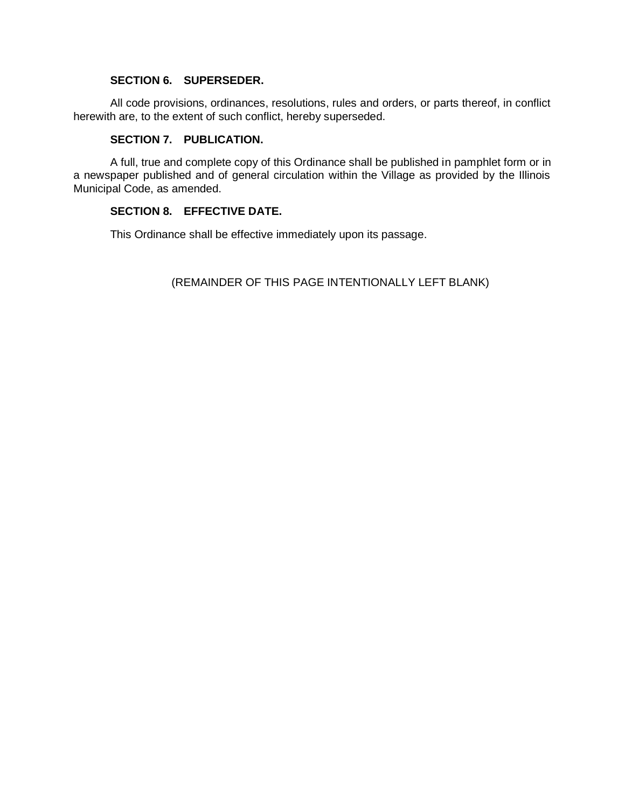# **SECTION 6. SUPERSEDER.**

All code provisions, ordinances, resolutions, rules and orders, or parts thereof, in conflict herewith are, to the extent of such conflict, hereby superseded.

# **SECTION 7. PUBLICATION.**

A full, true and complete copy of this Ordinance shall be published in pamphlet form or in a newspaper published and of general circulation within the Village as provided by the Illinois Municipal Code, as amended.

# **SECTION 8. EFFECTIVE DATE.**

This Ordinance shall be effective immediately upon its passage.

(REMAINDER OF THIS PAGE INTENTIONALLY LEFT BLANK)